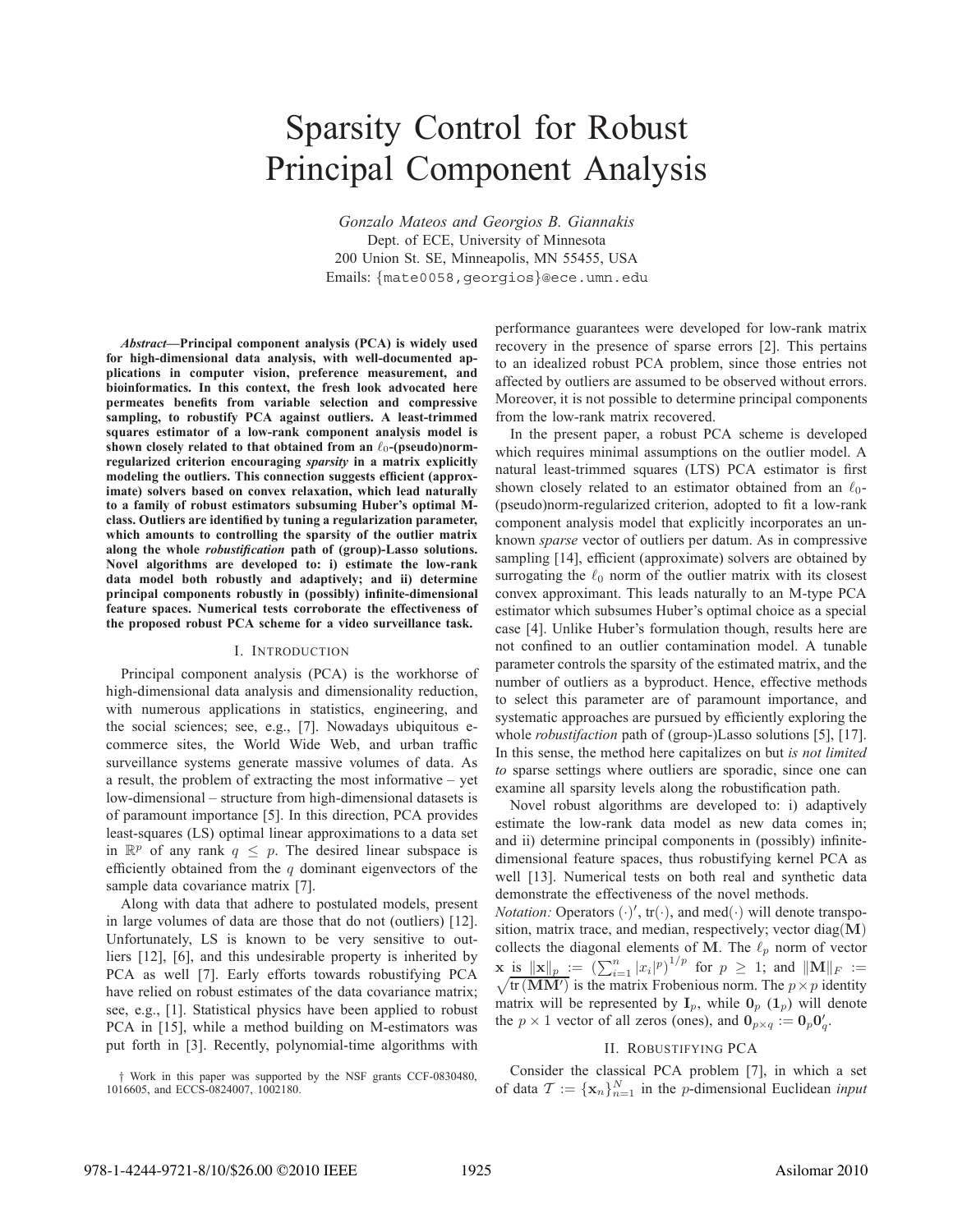# Sparsity Control for Robust Principal Component Analysis

*Gonzalo Mateos and Georgios B. Giannakis* Dept. of ECE, University of Minnesota 200 Union St. SE, Minneapolis, MN 55455, USA Emails: {mate0058,georgios}@ece.umn.edu

*Abstract***—Principal component analysis (PCA) is widely used for high-dimensional data analysis, with well-documented applications in computer vision, preference measurement, and bioinformatics. In this context, the fresh look advocated here permeates benefits from variable selection and compressive sampling, to robustify PCA against outliers. A least-trimmed squares estimator of a low-rank component analysis model is** shown closely related to that obtained from an  $\ell_0$ -(pseudo)norm**regularized criterion encouraging** *sparsity* **in a matrix explicitly modeling the outliers. This connection suggests efficient (approximate) solvers based on convex relaxation, which lead naturally to a family of robust estimators subsuming Huber's optimal Mclass. Outliers are identified by tuning a regularization parameter, which amounts to controlling the sparsity of the outlier matrix along the whole** *robustification* **path of (group)-Lasso solutions. Novel algorithms are developed to: i) estimate the low-rank data model both robustly and adaptively; and ii) determine principal components robustly in (possibly) infinite-dimensional feature spaces. Numerical tests corroborate the effectiveness of the proposed robust PCA scheme for a video surveillance task.**

## I. INTRODUCTION

Principal component analysis (PCA) is the workhorse of high-dimensional data analysis and dimensionality reduction, with numerous applications in statistics, engineering, and the social sciences; see, e.g., [7]. Nowadays ubiquitous ecommerce sites, the World Wide Web, and urban traffic surveillance systems generate massive volumes of data. As a result, the problem of extracting the most informative – yet low-dimensional – structure from high-dimensional datasets is of paramount importance [5]. In this direction, PCA provides least-squares (LS) optimal linear approximations to a data set in  $\mathbb{R}^p$  of any rank  $q \leq p$ . The desired linear subspace is efficiently obtained from the  $q$  dominant eigenvectors of the sample data covariance matrix [7].

Along with data that adhere to postulated models, present in large volumes of data are those that do not (outliers) [12]. Unfortunately, LS is known to be very sensitive to outliers [12], [6], and this undesirable property is inherited by PCA as well [7]. Early efforts towards robustifying PCA have relied on robust estimates of the data covariance matrix; see, e.g., [1]. Statistical physics have been applied to robust PCA in [15], while a method building on M-estimators was put forth in [3]. Recently, polynomial-time algorithms with

performance guarantees were developed for low-rank matrix recovery in the presence of sparse errors [2]. This pertains to an idealized robust PCA problem, since those entries not affected by outliers are assumed to be observed without errors. Moreover, it is not possible to determine principal components from the low-rank matrix recovered.

In the present paper, a robust PCA scheme is developed which requires minimal assumptions on the outlier model. A natural least-trimmed squares (LTS) PCA estimator is first shown closely related to an estimator obtained from an  $\ell_0$ -(pseudo)norm-regularized criterion, adopted to fit a low-rank component analysis model that explicitly incorporates an unknown *sparse* vector of outliers per datum. As in compressive sampling [14], efficient (approximate) solvers are obtained by surrogating the  $\ell_0$  norm of the outlier matrix with its closest convex approximant. This leads naturally to an M-type PCA estimator which subsumes Huber's optimal choice as a special case [4]. Unlike Huber's formulation though, results here are not confined to an outlier contamination model. A tunable parameter controls the sparsity of the estimated matrix, and the number of outliers as a byproduct. Hence, effective methods to select this parameter are of paramount importance, and systematic approaches are pursued by efficiently exploring the whole *robustifaction* path of (group-)Lasso solutions [5], [17]. In this sense, the method here capitalizes on but *is not limited to* sparse settings where outliers are sporadic, since one can examine all sparsity levels along the robustification path.

Novel robust algorithms are developed to: i) adaptively estimate the low-rank data model as new data comes in; and ii) determine principal components in (possibly) infinitedimensional feature spaces, thus robustifying kernel PCA as well [13]. Numerical tests on both real and synthetic data demonstrate the effectiveness of the novel methods.

*Notation:* Operators  $(\cdot)'$ ,  $tr(\cdot)$ , and med $(\cdot)$  will denote transpo-<br>sition matrix trace and median respectively; vector dian(M) sition, matrix trace, and median, respectively; vector diag(**M**) collects the diagonal elements of M. The  $\ell_p$  norm of vector **x** is  $\|\mathbf{x}\|_p := \left(\sum_{i=1}^n |x_i|^p\right)^{1/p}$  for  $p \ge 1$ ; and  $\|\mathbf{M}\|_F :=$  $\sqrt{\text{tr}(\text{MM}')}$  is the matrix Frobenious norm. The p×p identity<br>matrix will be represented by **I** while **0** (1) will denote matrix will be represented by  $I_p$ , while  $O_p (1_p)$  will denote the  $p \times 1$  vector of all zeros (ones), and  $\mathbf{0}_{p \times q} := \mathbf{0}_p \mathbf{0}'_q$ .

## II. ROBUSTIFYING PCA

Consider the classical PCA problem [7], in which a set of data  $\mathcal{T} := {\mathbf{x}_n}_{n=1}^N$  in the *p*-dimensional Euclidean *input* 

<sup>†</sup> Work in this paper was supported by the NSF grants CCF-0830480, 1016605, and ECCS-0824007, 1002180.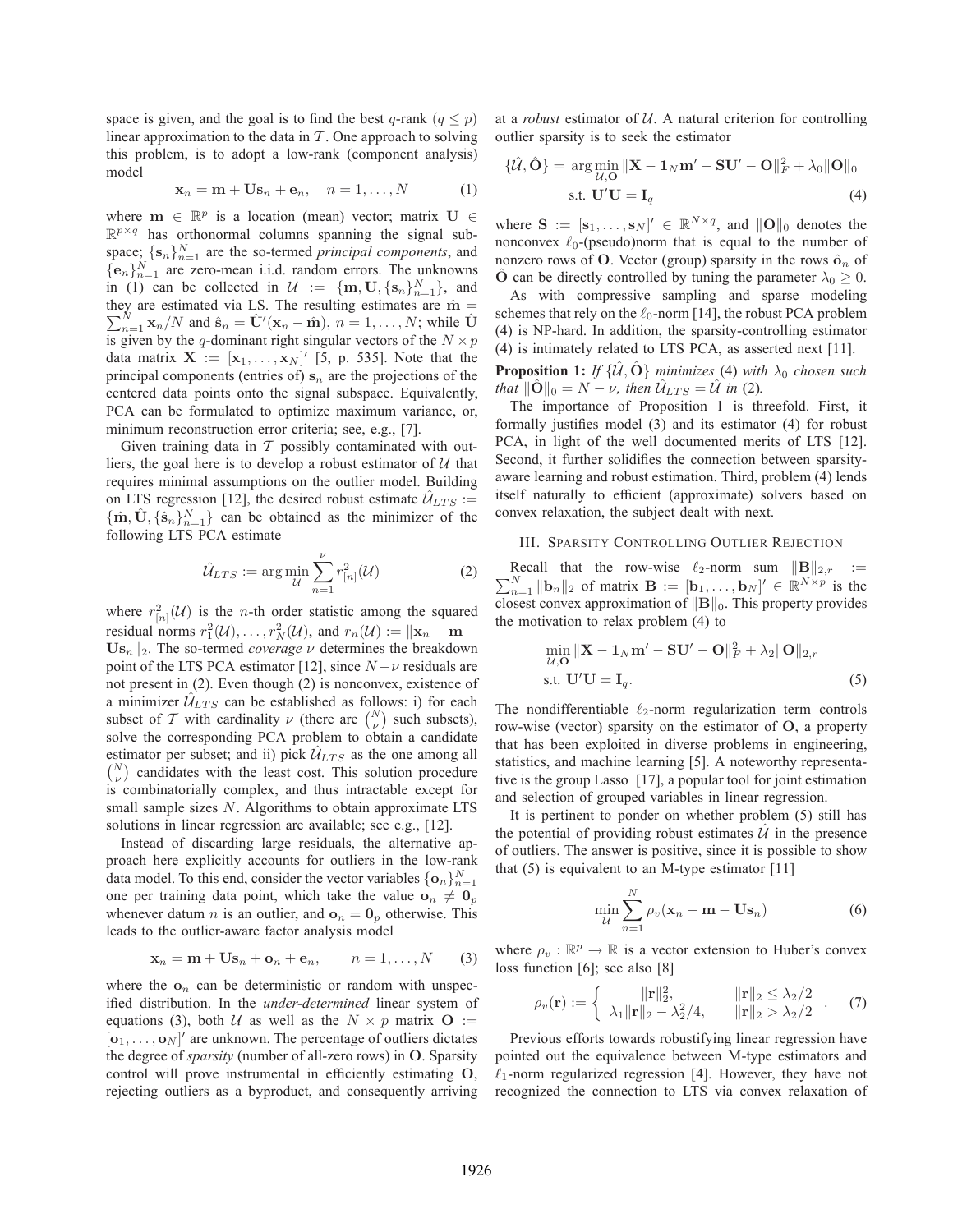space is given, and the goal is to find the best q-rank  $(q \leq p)$ linear approximation to the data in  $T$ . One approach to solving this problem, is to adopt a low-rank (component analysis) model

$$
\mathbf{x}_n = \mathbf{m} + \mathbf{Us}_n + \mathbf{e}_n, \quad n = 1, \dots, N \tag{1}
$$

where  $\mathbf{m} \in \mathbb{R}^p$  is a location (mean) vector; matrix  $\mathbf{U} \in$  $\mathbb{R}^{p \times q}$  has orthonormal columns spanning the signal subspace;  $\{s_n\}_{n=1}^N$  are the so-termed *principal components*, and  ${e_n}_{n=1}^N$  are zero-mean i.i.d. random errors. The unknowns in (1) can be collected in  $\mathcal{U} := \{\mathbf{m}, \mathbf{U}, \{\mathbf{s}_n\}_{n=1}^N\}$ , and they are estimated via LS. The resulting estimates are  $\hat{\mathbf{m}}$  –  $\sum_{n=1}^{N} \mathbf{x}_n/N$  and  $\hat{\mathbf{s}}_n = \hat{\mathbf{U}}^{\prime}(\mathbf{x}_n - \hat{\mathbf{m}}), n = 1, \dots, N$ ; while  $\hat{\mathbf{U}}$ <br>is given by the *a*-dominant right singular vectors of the  $N \times n$ they are estimated via LS. The resulting estimates are  $\hat{\mathbf{m}} =$ is given by the q-dominant right singular vectors of the  $N \times p$ data matrix  $\mathbf{X} := [\mathbf{x}_1, \dots, \mathbf{x}_N]'$  [5, p. 535]. Note that the principal components (entries of)  $s_n$  are the projections of the centered data points onto the signal subspace. Equivalently, PCA can be formulated to optimize maximum variance, or, minimum reconstruction error criteria; see, e.g., [7].

Given training data in  $T$  possibly contaminated with outliers, the goal here is to develop a robust estimator of  $U$  that requires minimal assumptions on the outlier model. Building on LTS regression [12], the desired robust estimate  $\hat{U}_{LTS}$  :=  $\{\hat{\mathbf{m}}, \hat{\mathbf{U}}, \{\hat{\mathbf{s}}_n\}_{n=1}^N\}$  can be obtained as the minimizer of the following  $\text{ITS PCA}$  estimate following LTS PCA estimate

$$
\hat{\mathcal{U}}_{LTS} := \arg\min_{\mathcal{U}} \sum_{n=1}^{\nu} r_{[n]}^2(\mathcal{U})
$$
 (2)

where  $r_{[n]}^2(\mathcal{U})$  is the *n*-th order statistic among the squared<br>residual parms  $x^2(\mathcal{U})$  and  $x(\mathcal{U}) = ||x||$ residual norms  $r_1^2(\mathcal{U}), \ldots, r_N^2(\mathcal{U})$ , and  $r_n(\mathcal{U}) := ||\mathbf{x}_n - \mathbf{m} - \mathbf{I}||$ <br>**I.** I. The so-termed *coverage v* determines the breakdown  $\mathbf{U}\mathbf{s}_n||_2$ . The so-termed *coverage*  $\nu$  determines the breakdown point of the LTS PCA estimator [12], since  $N - \nu$  residuals are not present in (2). Even though (2) is nonconvex, existence of a minimizer  $\hat{U}_{LTS}$  can be established as follows: i) for each subset of T with cardinality  $\nu$  (there are  $\binom{N}{\nu}$  such subsets), solve the corresponding PCA problem to obtain a candidate estimator per subset; and ii) pick  $U_{LTS}$  as the one among all  $N \choose \nu$  candidates with the least cost. This solution procedure is combinatorially complex, and thus intractable except for small sample sizes N. Algorithms to obtain approximate LTS solutions in linear regression are available; see e.g., [12].

Instead of discarding large residuals, the alternative approach here explicitly accounts for outliers in the low-rank data model. To this end, consider the vector variables  $\{\mathbf{o}_n\}_{n=1}^N$ one per training data point, which take the value  $\mathbf{o}_n \neq \mathbf{0}_p$ whenever datum *n* is an outlier, and  $\mathbf{o}_n = \mathbf{0}_p$  otherwise. This leads to the outlier-aware factor analysis model

$$
\mathbf{x}_n = \mathbf{m} + \mathbf{U}\mathbf{s}_n + \mathbf{o}_n + \mathbf{e}_n, \qquad n = 1, \dots, N \qquad (3)
$$

where the  $o_n$  can be deterministic or random with unspecified distribution. In the *under-determined* linear system of equations (3), both U as well as the  $N \times p$  matrix **O** :=  $[\mathbf{o}_1, \dots, \mathbf{o}_N]'$  are unknown. The percentage of outliers dictates<br>the degree of sparsity (pumber of all-zero rows) in  $\Omega$ . Sparsity the degree of *sparsity* (number of all-zero rows) in **O**. Sparsity control will prove instrumental in efficiently estimating **O**, rejecting outliers as a byproduct, and consequently arriving

at a *robust* estimator of  $U$ . A natural criterion for controlling outlier sparsity is to seek the estimator

$$
\{\hat{\mathcal{U}}, \hat{\mathbf{O}}\} = \arg\min_{\mathcal{U}, \mathbf{O}} \|\mathbf{X} - \mathbf{1}_N \mathbf{m}' - \mathbf{S} \mathbf{U}' - \mathbf{O}\|_F^2 + \lambda_0 \|\mathbf{O}\|_0
$$
  
s.t.  $\mathbf{U}'\mathbf{U} = \mathbf{I}_q$  (4)

where  $\mathbf{S} := [\mathbf{s}_1, \dots, \mathbf{s}_N] \in \mathbb{R}^{N \times q}$ , and  $\|\mathbf{O}\|_0$  denotes the number of nonconvex  $\ell_0$ -(pseudo)norm that is equal to the number of nonzero rows of **O**. Vector (group) sparsity in the rows  $\hat{\mathbf{o}}_n$  of **O** can be directly controlled by tuning the parameter  $\lambda_0 \geq 0$ .

As with compressive sampling and sparse modeling schemes that rely on the  $\ell_0$ -norm [14], the robust PCA problem (4) is NP-hard. In addition, the sparsity-controlling estimator (4) is intimately related to LTS PCA, as asserted next [11].

**Proposition 1:** *If*  $\{\hat{\mathcal{U}}, \hat{\mathbf{O}}\}$  *minimizes* (4) *with*  $\lambda_0$  *chosen such that*  $\|\mathbf{O}\|_{0} = N - \nu$ *, then*  $\mathcal{U}_{LTS} = \mathcal{U}$  *in* (2)*.* 

The importance of Proposition 1 is threefold. First, it formally justifies model (3) and its estimator (4) for robust PCA, in light of the well documented merits of LTS [12]. Second, it further solidifies the connection between sparsityaware learning and robust estimation. Third, problem (4) lends itself naturally to efficient (approximate) solvers based on convex relaxation, the subject dealt with next.

# III. SPARSITY CONTROLLING OUTLIER REJECTION

 $\sum_{n=1}^{N} ||\mathbf{b}_n||_2$  of matrix  $\mathbf{B} := [\mathbf{b}_1, \dots, \mathbf{b}_N]' \in \mathbb{R}^{N \times p}$  is the closest convex approximation of  $||\mathbf{B}||_2$ . This property provides Recall that the row-wise  $\ell_2$ -norm sum  $\|\mathbf{B}\|_{2,r} := N$ <br>
N  $\|\mathbf{b}\|_{2,r}$  is the normal  $\mathbf{B} := \|\mathbf{b}\|_{2,r}$  is the closest convex approximation of  $\|\mathbf{B}\|_0$ . This property provides the motivation to relax problem (4) to

$$
\min_{U,O} \|\mathbf{X} - \mathbf{1}_N \mathbf{m}' - \mathbf{S} \mathbf{U}' - \mathbf{O}\|_F^2 + \lambda_2 \|\mathbf{O}\|_{2,r}
$$
  
s.t.  $\mathbf{U}'\mathbf{U} = \mathbf{I}_q.$  (5)

The nondifferentiable  $\ell_2$ -norm regularization term controls row-wise (vector) sparsity on the estimator of **O**, a property that has been exploited in diverse problems in engineering, statistics, and machine learning [5]. A noteworthy representative is the group Lasso [17], a popular tool for joint estimation and selection of grouped variables in linear regression.

It is pertinent to ponder on whether problem (5) still has the potential of providing robust estimates  $\mathcal{U}$  in the presence of outliers. The answer is positive, since it is possible to show that  $(5)$  is equivalent to an M-type estimator  $[11]$ 

$$
\min_{\mathcal{U}} \sum_{n=1}^{N} \rho_v(\mathbf{x}_n - \mathbf{m} - \mathbf{U}\mathbf{s}_n)
$$
 (6)

where  $\rho_v : \mathbb{R}^p \to \mathbb{R}$  is a vector extension to Huber's convex loss function [6]; see also [8]

$$
\rho_v(\mathbf{r}) := \begin{cases} ||\mathbf{r}||_2^2, & ||\mathbf{r}||_2 \le \lambda_2/2 \\ \lambda_1 ||\mathbf{r}||_2 - \lambda_2^2/4, & ||\mathbf{r}||_2 > \lambda_2/2 \end{cases} . \tag{7}
$$

Previous efforts towards robustifying linear regression have pointed out the equivalence between M-type estimators and  $\ell_1$ -norm regularized regression [4]. However, they have not recognized the connection to LTS via convex relaxation of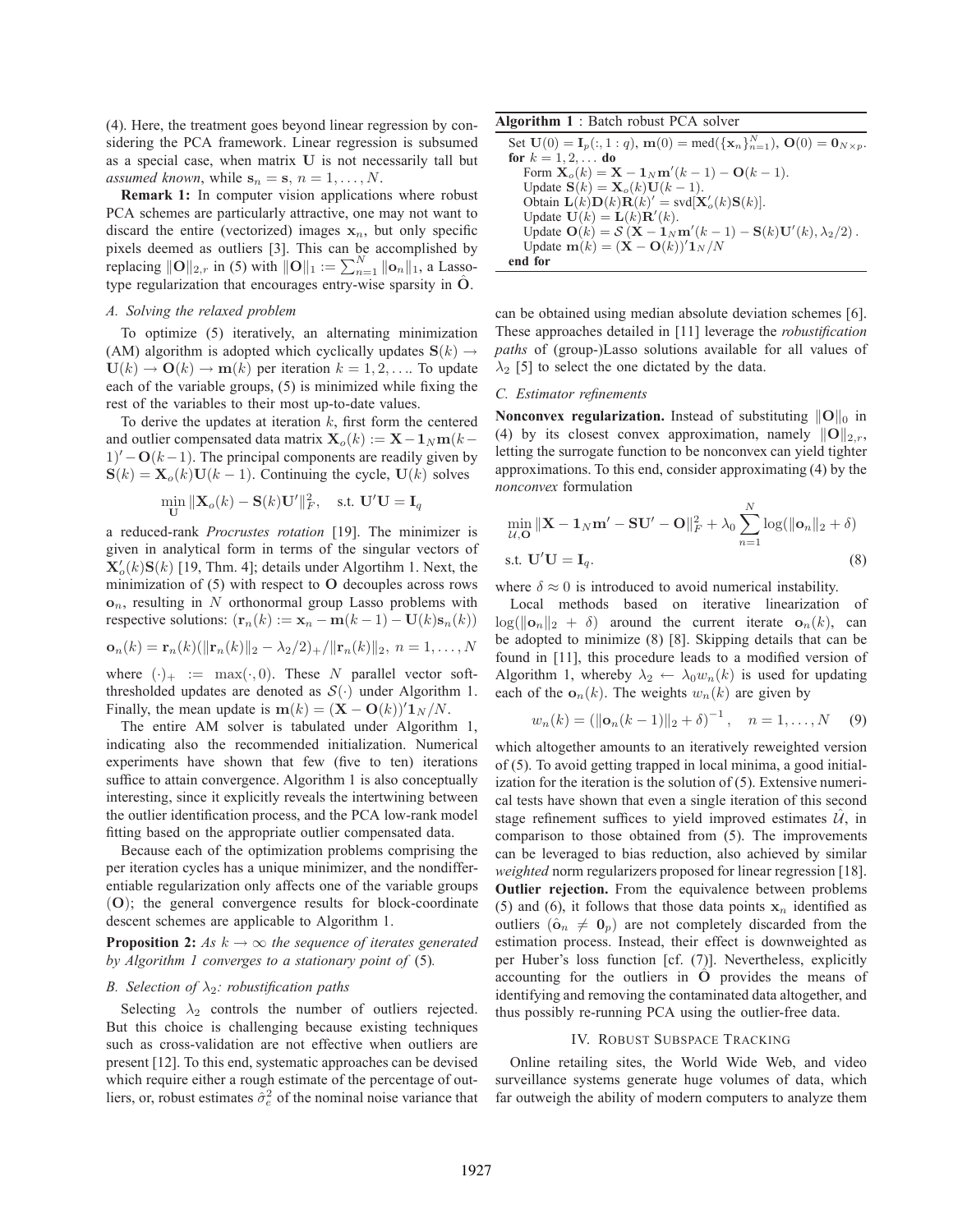(4). Here, the treatment goes beyond linear regression by considering the PCA framework. Linear regression is subsumed as a special case, when matrix **U** is not necessarily tall but *assumed known*, while  $\mathbf{s}_n = \mathbf{s}, n = 1, \ldots, N$ .

**Remark 1:** In computer vision applications where robust PCA schemes are particularly attractive, one may not want to discard the entire (vectorized) images  $x_n$ , but only specific pixels deemed as outliers [3]. This can be accomplished by replacing  $\|\mathbf{O}\|_{2,r}$  in (5) with  $\|\mathbf{O}\|_{1} := \sum_{n=1}^{N} \|\mathbf{o}_n\|_{1}$ , a Lasso-<br>type requierization that encourage entry wise sparsity in  $\hat{\mathbf{O}}$ type regularization that encourages entry-wise sparsity in  $\hat{O}$ .

### *A. Solving the relaxed problem*

To optimize (5) iteratively, an alternating minimization (AM) algorithm is adopted which cyclically updates  $S(k) \rightarrow$  $U(k) \rightarrow O(k) \rightarrow m(k)$  per iteration  $k = 1, 2, \dots$  To update each of the variable groups, (5) is minimized while fixing the rest of the variables to their most up-to-date values.

To derive the updates at iteration  $k$ , first form the centered and outlier compensated data matrix  $\mathbf{X}_o(k) := \mathbf{X} - \mathbf{1}_N \mathbf{m}(k-1)$ 1)' − **O**(k−1). The principal components are readily given by  $S(k) = X(k)H(k-1)$ . Continuing the cycle  $H(k)$  solves  $S(k) = X<sub>o</sub>(k)U(k-1)$ . Continuing the cycle,  $U(k)$  solves

$$
\min_{\mathbf{U}} \|\mathbf{X}_o(k) - \mathbf{S}(k)\mathbf{U}'\|_F^2, \quad \text{s.t. } \mathbf{U}'\mathbf{U} = \mathbf{I}_q
$$

a reduced-rank *Procrustes rotation* [19]. The minimizer is given in analytical form in terms of the singular vectors of  $\mathbf{X}'_0(k) \mathbf{S}(k)$  [19, Thm. 4]; details under Algortihm 1. Next, the minimization of (5) with respect to  $\Omega$  decouples across rows minimization of (5) with respect to **O** decouples across rows **o**n, resulting in N orthonormal group Lasso problems with respective solutions:  $(\mathbf{r}_n(k) := \mathbf{x}_n - \mathbf{m}(k-1) - \mathbf{U}(k)\mathbf{s}_n(k))$ 

$$
\mathbf{o}_n(k) = \mathbf{r}_n(k)(\|\mathbf{r}_n(k)\|_2 - \lambda_2/2) + (\|\mathbf{r}_n(k)\|_2, n = 1, \dots, N
$$

where  $(\cdot)_+ := \max(\cdot, 0)$ . These N parallel vector softthresholded updates are denoted as  $S(\cdot)$  under Algorithm 1. Finally, the mean update is  $\mathbf{m}(k) = (\mathbf{X} - \mathbf{O}(k))'\mathbf{1}_N/N$ .<br>The entire AM solver is tabulated under Algorithm

The entire AM solver is tabulated under Algorithm 1, indicating also the recommended initialization. Numerical experiments have shown that few (five to ten) iterations suffice to attain convergence. Algorithm 1 is also conceptually interesting, since it explicitly reveals the intertwining between the outlier identification process, and the PCA low-rank model fitting based on the appropriate outlier compensated data.

Because each of the optimization problems comprising the per iteration cycles has a unique minimizer, and the nondifferentiable regularization only affects one of the variable groups (**O**); the general convergence results for block-coordinate descent schemes are applicable to Algorithm 1.

**Proposition 2:** *As*  $k \to \infty$  *the sequence of iterates generated by Algorithm 1 converges to a stationary point of* (5)*.*

## *B. Selection of*  $\lambda_2$ *: robustification paths*

Selecting  $\lambda_2$  controls the number of outliers rejected. But this choice is challenging because existing techniques such as cross-validation are not effective when outliers are present [12]. To this end, systematic approaches can be devised which require either a rough estimate of the percentage of outliers, or, robust estimates  $\hat{\sigma}_{e}^{2}$  of the nominal noise variance that

| Algorithm 1 : Batch robust PCA solver                                                                                          |
|--------------------------------------------------------------------------------------------------------------------------------|
| Set $U(0) = I_p(:, 1:q)$ , $m(0) = med({x_n}_{n=1}^N), O(0) = 0_{N \times p}$ .                                                |
| for $k = 1, 2, $ do                                                                                                            |
| Form ${\bf X}_o(k) = {\bf X} - {\bf 1}_N{\bf m}'(k-1) - {\bf O}(k-1)$ .                                                        |
| Update $\mathbf{S}(k) = \mathbf{X}_o(k)\mathbf{U}(k-1)$ .                                                                      |
| Obtain $\mathbf{L}(k)\mathbf{D}(k)\mathbf{R}(k)' = \text{svd}[\mathbf{X}'_o(k)\mathbf{S}(k)].$                                 |
| Update $\mathbf{U}(k) = \mathbf{L}(k)\mathbf{R}'(k)$ .                                                                         |
| Update $\mathbf{O}(k) = \mathcal{S}(\mathbf{X} - \mathbf{1}_N \mathbf{m}'(k-1) - \mathbf{S}(k) \mathbf{U}'(k), \lambda_2/2)$ . |
| Update $\mathbf{m}(k) = (\mathbf{X} - \mathbf{O}(k))' \mathbf{1}_N/N$                                                          |
| end for                                                                                                                        |

can be obtained using median absolute deviation schemes [6]. These approaches detailed in [11] leverage the *robustification paths* of (group-)Lasso solutions available for all values of  $\lambda_2$  [5] to select the one dictated by the data.

# *C. Estimator refinements*

**Nonconvex regularization.** Instead of substituting  $\|\mathbf{O}\|_0$  in (4) by its closest convex approximation, namely  $\|\mathbf{O}\|_{2,r}$ , letting the surrogate function to be nonconvex can yield tighter approximations. To this end, consider approximating (4) by the *nonconvex* formulation

$$
\min_{U,\mathbf{O}} \|\mathbf{X} - \mathbf{1}_N \mathbf{m}' - \mathbf{S} \mathbf{U}' - \mathbf{O}\|_F^2 + \lambda_0 \sum_{n=1}^N \log(\|\mathbf{o}_n\|_2 + \delta)
$$
  
s.t.  $\mathbf{U}'\mathbf{U} = \mathbf{I}_q$ . (8)

where  $\delta \approx 0$  is introduced to avoid numerical instability.

Local methods based on iterative linearization of  $\log(\|\mathbf{o}_n\|_2 + \delta)$  around the current iterate  $\mathbf{o}_n(k)$ , can be adopted to minimize (8) [8]. Skipping details that can be found in [11], this procedure leads to a modified version of Algorithm 1, whereby  $\lambda_2 \leftarrow \lambda_0 w_n(k)$  is used for updating each of the  $o_n(k)$ . The weights  $w_n(k)$  are given by

$$
w_n(k) = (||\mathbf{o}_n(k-1)||_2 + \delta)^{-1}, \quad n = 1, \dots, N \quad (9)
$$

which altogether amounts to an iteratively reweighted version of (5). To avoid getting trapped in local minima, a good initialization for the iteration is the solution of (5). Extensive numerical tests have shown that even a single iteration of this second stage refinement suffices to yield improved estimates  $\hat{U}$ , in comparison to those obtained from (5). The improvements can be leveraged to bias reduction, also achieved by similar *weighted* norm regularizers proposed for linear regression [18]. **Outlier rejection.** From the equivalence between problems (5) and (6), it follows that those data points  $x_n$  identified as outliers  $(\hat{\mathbf{o}}_n \neq \mathbf{0}_p)$  are not completely discarded from the estimation process. Instead, their effect is downweighted as per Huber's loss function [cf. (7)]. Nevertheless, explicitly accounting for the outliers in **<sup>O</sup>**<sup>ˆ</sup> provides the means of identifying and removing the contaminated data altogether, and thus possibly re-running PCA using the outlier-free data.

## IV. ROBUST SUBSPACE TRACKING

Online retailing sites, the World Wide Web, and video surveillance systems generate huge volumes of data, which far outweigh the ability of modern computers to analyze them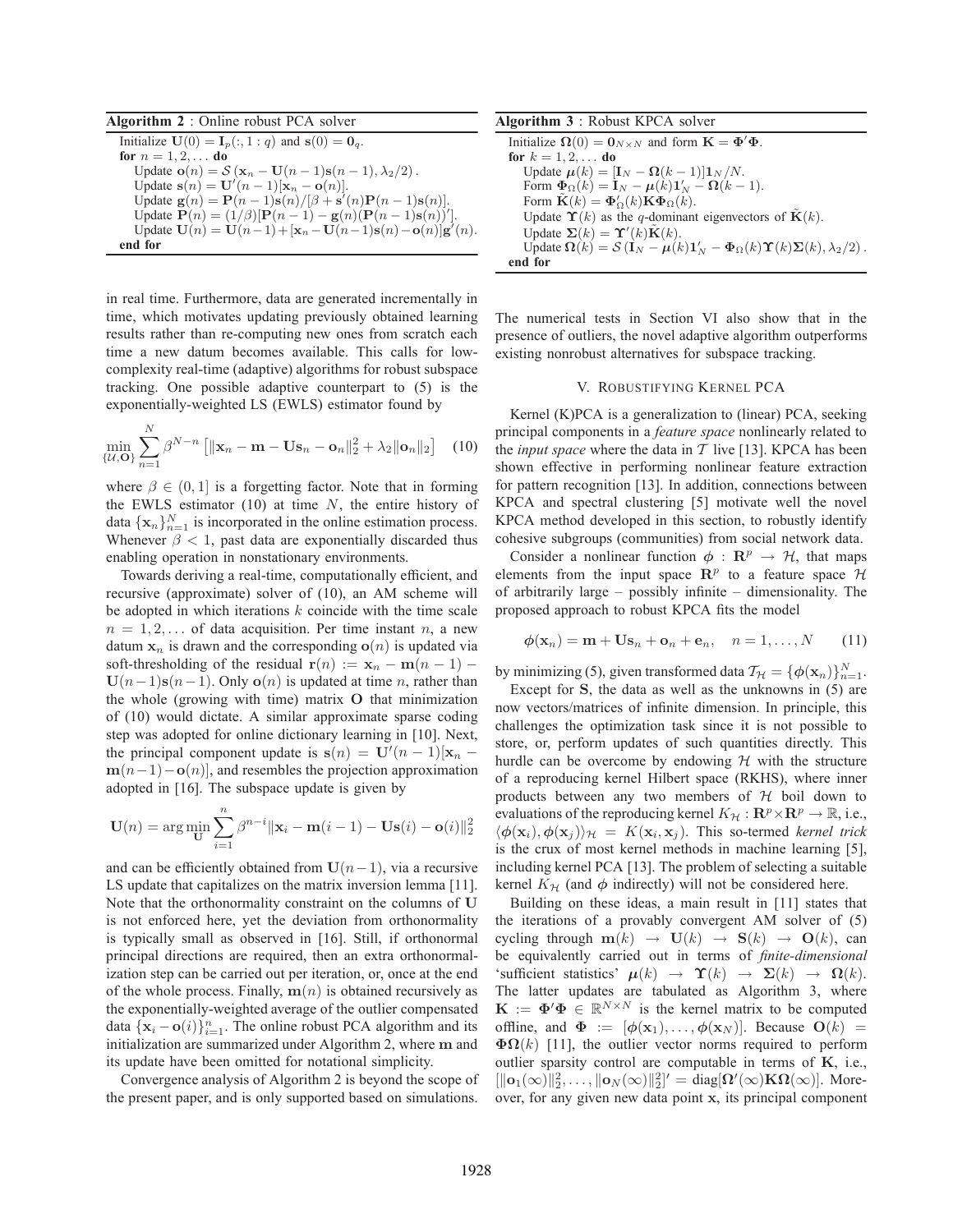**Algorithm 2** : Online robust PCA solver Initialize **U**(0) = **I**<sub>p</sub>(:, 1 : *q*) and **s**(0) = **0**<sub>q</sub>.<br> **for**  $n = 1, 2, ...$  **do** Update  $\mathbf{o}(n) = S(\mathbf{x}_n - \mathbf{U}(n-1)\mathbf{s}(n-1), \lambda_2/2)$ .<br>Update  $\mathbf{s}(n) = \mathbf{U}'(n-1)(\mathbf{x}_n - \mathbf{o}(n))$  $\begin{array}{l}\n\text{Update } \mathbf{s}(n) = \mathbf{U}'(n-1)[\mathbf{x}_n - \mathbf{o}(n)]. \\
\text{Indate } \mathbf{g}(n) = \mathbf{P}(n-1)\mathbf{s}(n)/[3+\mathbf{s}']\n\end{array}$ Update  $\mathbf{g}(n) = \mathbf{P}(n-1)\mathbf{s}(n)/[\beta + \mathbf{s}'(n)\mathbf{P}(n-1)\mathbf{s}(n)].$ <br>Undate  $\mathbf{P}(n) = (1/\beta)[\mathbf{P}(n-1) - \mathbf{g}(n)(\mathbf{P}(n-1)\mathbf{s}(n))]$ Update  $\mathbf{P}(n) = (1/\beta)[\mathbf{P}(n-1) - \mathbf{g}(n)(\mathbf{P}(n-1)\mathbf{s}(n))']$ .<br>Undate  $\mathbf{U}(n) = \mathbf{U}(n-1) + [\mathbf{x}_n - \mathbf{U}(n-1)\mathbf{s}(n) - \mathbf{o}(n)]\mathbf{g}'$ . Update  $\mathbf{U}(n) = \mathbf{U}(n-1) + [\mathbf{x}_n - \mathbf{U}(n-1)\mathbf{s}(n) - \mathbf{o}(n)]\mathbf{g}'(n).$ **end for**

in real time. Furthermore, data are generated incrementally in time, which motivates updating previously obtained learning results rather than re-computing new ones from scratch each time a new datum becomes available. This calls for lowcomplexity real-time (adaptive) algorithms for robust subspace tracking. One possible adaptive counterpart to (5) is the exponentially-weighted LS (EWLS) estimator found by

$$
\min_{\{\mathcal{U}, \mathbf{O}\}} \sum_{n=1}^{N} \beta^{N-n} \left[ \|\mathbf{x}_n - \mathbf{m} - \mathbf{U}\mathbf{s}_n - \mathbf{o}_n\|_2^2 + \lambda_2 \|\mathbf{o}_n\|_2 \right] \tag{10}
$$

where  $\beta \in (0, 1]$  is a forgetting factor. Note that in forming the EWLS estimator (10) at time  $N$ , the entire history of data  $\{\mathbf x_n\}_{n=1}^N$  is incorporated in the online estimation process. Whenever  $\beta$  < 1, past data are exponentially discarded thus enabling operation in nonstationary environments.

Towards deriving a real-time, computationally efficient, and recursive (approximate) solver of (10), an AM scheme will be adopted in which iterations  $k$  coincide with the time scale  $n = 1, 2, \ldots$  of data acquisition. Per time instant n, a new datum  $x_n$  is drawn and the corresponding  $o(n)$  is updated via soft-thresholding of the residual  $\mathbf{r}(n) := \mathbf{x}_n - \mathbf{m}(n-1)$  –  $U(n-1)s(n-1)$ . Only **o**(n) is updated at time n, rather than the whole (growing with time) matrix **O** that minimization of (10) would dictate. A similar approximate sparse coding step was adopted for online dictionary learning in [10]. Next, the principal component update is  $\mathbf{s}(n) = \mathbf{U}'(n-1)[\mathbf{x}_n - \mathbf{m}(n-1) - \mathbf{g}(n)]$  and recembles the projection approximation **, and resembles the projection approximation** adopted in [16]. The subspace update is given by

$$
\mathbf{U}(n) = \arg\min_{\mathbf{U}} \sum_{i=1}^{n} \beta^{n-i} ||\mathbf{x}_i - \mathbf{m}(i-1) - \mathbf{U}\mathbf{s}(i) - \mathbf{o}(i)||_2^2
$$

and can be efficiently obtained from  $U(n-1)$ , via a recursive LS update that capitalizes on the matrix inversion lemma [11]. Note that the orthonormality constraint on the columns of **U** is not enforced here, yet the deviation from orthonormality is typically small as observed in [16]. Still, if orthonormal principal directions are required, then an extra orthonormalization step can be carried out per iteration, or, once at the end of the whole process. Finally,  $\mathbf{m}(n)$  is obtained recursively as the exponentially-weighted average of the outlier compensated data  $\{x_i - o(i)\}_{i=1}^n$ . The online robust PCA algorithm and its initialization are summarized under Algorithm 2, where m and initialization are summarized under Algorithm 2, where **m** and its update have been omitted for notational simplicity.

Convergence analysis of Algorithm 2 is beyond the scope of the present paper, and is only supported based on simulations.

| <b>Algorithm 3</b> : Robust KPCA solver                                                          |
|--------------------------------------------------------------------------------------------------|
| Initialize $\Omega(0) = 0_{N \times N}$ and form $\mathbf{K} = \mathbf{\Phi}' \mathbf{\Phi}$ .   |
| for $k = 1, 2, $ do                                                                              |
| Update $\mu(k) = [\mathbf{I}_N - \mathbf{\Omega}(k-1)]\mathbf{1}_N/N$ .                          |
| Form $\Phi_{\Omega}(k) = I_N - \mu(k)1'_N - \Omega(k-1)$ .                                       |
| Form $\tilde{\mathbf{K}}(k) = \mathbf{\Phi}'_{\Omega}(k) \mathbf{K} \mathbf{\Phi}_{\Omega}(k)$ . |
| Update $\Upsilon(k)$ as the q-dominant eigenvectors of $K(k)$ .                                  |
| Update $\Sigma(k) = \Upsilon'(k)\tilde{\mathbf{K}}(k)$ .                                         |
| Update $\Omega(k) = S(I_N - \mu(k)1'_N - \Phi_{\Omega}(k)\Upsilon(k)\Sigma(k), \lambda_2/2)$ .   |
| end for                                                                                          |

The numerical tests in Section VI also show that in the presence of outliers, the novel adaptive algorithm outperforms existing nonrobust alternatives for subspace tracking.

## V. ROBUSTIFYING KERNEL PCA

Kernel (K)PCA is a generalization to (linear) PCA, seeking principal components in a *feature space* nonlinearly related to the *input space* where the data in  $T$  live [13]. KPCA has been shown effective in performing nonlinear feature extraction for pattern recognition [13]. In addition, connections between KPCA and spectral clustering [5] motivate well the novel KPCA method developed in this section, to robustly identify cohesive subgroups (communities) from social network data.

Consider a nonlinear function  $\phi$  :  $\mathbb{R}^p \to H$ , that maps elements from the input space  $\mathbb{R}^p$  to a feature space  $\mathcal H$ of arbitrarily large – possibly infinite – dimensionality. The proposed approach to robust KPCA fits the model

$$
\phi(\mathbf{x}_n) = \mathbf{m} + \mathbf{Us}_n + \mathbf{o}_n + \mathbf{e}_n, \quad n = 1, \dots, N \qquad (11)
$$

by minimizing (5), given transformed data  $T_H = {\phi(\mathbf{x}_n)}_{n=1}^N$ .<br>Except for **S** the data as well as the unknowns in (5) are

Except for **S**, the data as well as the unknowns in (5) are now vectors/matrices of infinite dimension. In principle, this challenges the optimization task since it is not possible to store, or, perform updates of such quantities directly. This hurdle can be overcome by endowing  $H$  with the structure of a reproducing kernel Hilbert space (RKHS), where inner products between any two members of  $H$  boil down to evaluations of the reproducing kernel  $K_H : \mathbb{R}^p \times \mathbb{R}^p \to \mathbb{R}$ , i.e.,  $\langle \phi(\mathbf{x}_i), \phi(\mathbf{x}_j) \rangle_{\mathcal{H}} = K(\mathbf{x}_i, \mathbf{x}_j)$ . This so-termed *kernel trick* is the crux of most kernel methods in machine learning [5], including kernel PCA [13]. The problem of selecting a suitable kernel  $K_H$  (and  $\phi$  indirectly) will not be considered here.

Building on these ideas, a main result in [11] states that the iterations of a provably convergent AM solver of (5) cycling through  $m(k) \rightarrow U(k) \rightarrow S(k) \rightarrow O(k)$ , can be equivalently carried out in terms of *finite-dimensional* 'sufficient statistics'  $\mu(k) \rightarrow \Upsilon(k) \rightarrow \Sigma(k) \rightarrow \Omega(k)$ . The latter updates are tabulated as Algorithm 3, where  $\mathbf{K} := \mathbf{\Phi}' \mathbf{\Phi} \in \mathbb{R}^{N \times N}$  is the kernel matrix to be computed<br>offline, and  $\mathbf{\Phi} := [\phi(\mathbf{x}_1) \ \phi(\mathbf{x}_2)]$ . Because  $\mathbf{O}(k)$ offline, and  $\Phi := [\phi(\mathbf{x}_1), \dots, \phi(\mathbf{x}_N)]$ . Because  $\mathbf{O}(k)$  =  $\Phi\Omega(k)$  [11], the outlier vector norms required to perform outlier sparsity control are computable in terms of **K**, i.e.,  $\left[\|\mathbf{o}_1(\infty)\|_2^2, \ldots, \|\mathbf{o}_N(\infty)\|_2^2\right]' = \text{diag}[\mathbf{\Omega}'(\infty) \mathbf{K} \mathbf{\Omega}(\infty)].$  More- $\begin{bmatrix} \cos(\omega) & \sin(\omega_1 + \omega_2) & \sin(\omega_2 - \omega_3) & \sin(\omega_3 - \omega_4) & \sin(\omega_4 - \omega_5) & \sin(\omega_5 - \omega_6) & \sin(\omega_6 - \omega_7) & \sin(\omega_7 - \omega_7) & \sin(\omega_7 - \omega_7) & \sin(\omega_7 - \omega_7) & \sin(\omega_7 - \omega_7) & \sin(\omega_7 - \omega_7) & \sin(\omega_7 - \omega_7) & \sin(\omega_7 - \omega_7) & \sin(\omega_7 - \omega_7) & \sin(\omega_7 - \omega_7) & \sin(\omega_7 - \omega_7) &$